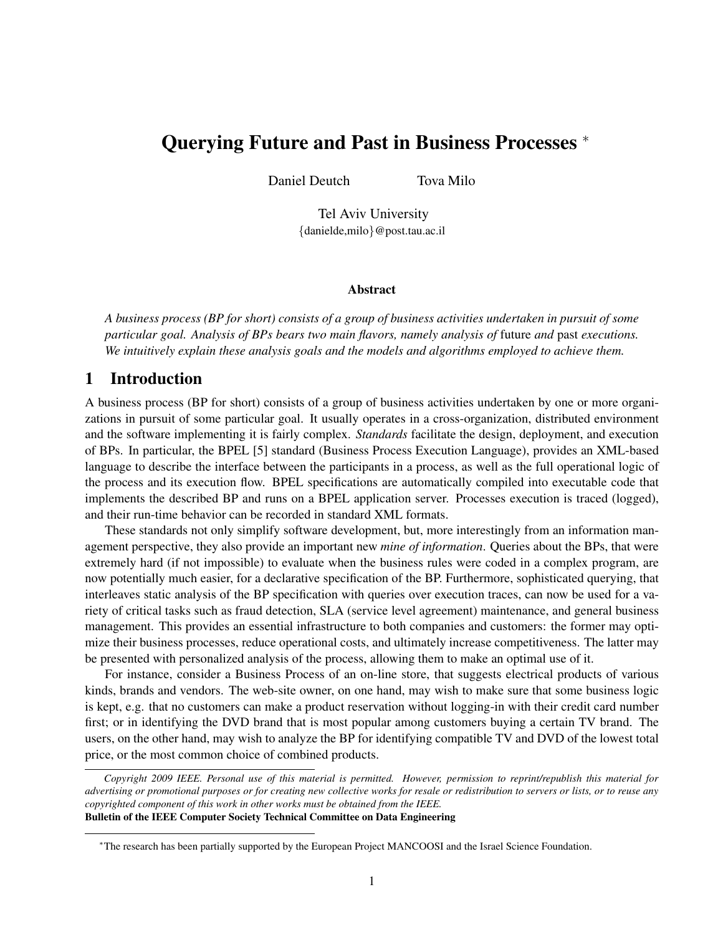# Querying Future and Past in Business Processes <sup>∗</sup>

Daniel Deutch Tova Milo

Tel Aviv University {danielde,milo}@post.tau.ac.il

#### Abstract

*A business process (BP for short) consists of a group of business activities undertaken in pursuit of some particular goal. Analysis of BPs bears two main flavors, namely analysis of* future *and* past *executions. We intuitively explain these analysis goals and the models and algorithms employed to achieve them.*

### 1 Introduction

A business process (BP for short) consists of a group of business activities undertaken by one or more organizations in pursuit of some particular goal. It usually operates in a cross-organization, distributed environment and the software implementing it is fairly complex. *Standards* facilitate the design, deployment, and execution of BPs. In particular, the BPEL [5] standard (Business Process Execution Language), provides an XML-based language to describe the interface between the participants in a process, as well as the full operational logic of the process and its execution flow. BPEL specifications are automatically compiled into executable code that implements the described BP and runs on a BPEL application server. Processes execution is traced (logged), and their run-time behavior can be recorded in standard XML formats.

These standards not only simplify software development, but, more interestingly from an information management perspective, they also provide an important new *mine of information*. Queries about the BPs, that were extremely hard (if not impossible) to evaluate when the business rules were coded in a complex program, are now potentially much easier, for a declarative specification of the BP. Furthermore, sophisticated querying, that interleaves static analysis of the BP specification with queries over execution traces, can now be used for a variety of critical tasks such as fraud detection, SLA (service level agreement) maintenance, and general business management. This provides an essential infrastructure to both companies and customers: the former may optimize their business processes, reduce operational costs, and ultimately increase competitiveness. The latter may be presented with personalized analysis of the process, allowing them to make an optimal use of it.

For instance, consider a Business Process of an on-line store, that suggests electrical products of various kinds, brands and vendors. The web-site owner, on one hand, may wish to make sure that some business logic is kept, e.g. that no customers can make a product reservation without logging-in with their credit card number first; or in identifying the DVD brand that is most popular among customers buying a certain TV brand. The users, on the other hand, may wish to analyze the BP for identifying compatible TV and DVD of the lowest total price, or the most common choice of combined products.

*Copyright 2009 IEEE. Personal use of this material is permitted. However, permission to reprint/republish this material for advertising or promotional purposes or for creating new collective works for resale or redistribution to servers or lists, or to reuse any copyrighted component of this work in other works must be obtained from the IEEE.* Bulletin of the IEEE Computer Society Technical Committee on Data Engineering

<sup>∗</sup>The research has been partially supported by the European Project MANCOOSI and the Israel Science Foundation.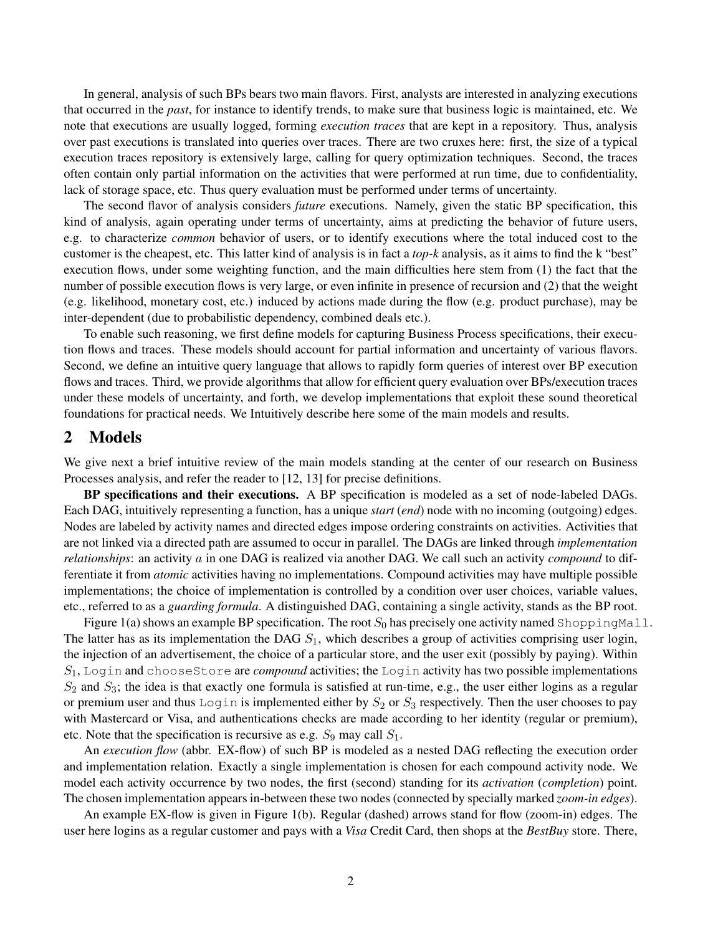In general, analysis of such BPs bears two main flavors. First, analysts are interested in analyzing executions that occurred in the *past*, for instance to identify trends, to make sure that business logic is maintained, etc. We note that executions are usually logged, forming *execution traces* that are kept in a repository. Thus, analysis over past executions is translated into queries over traces. There are two cruxes here: first, the size of a typical execution traces repository is extensively large, calling for query optimization techniques. Second, the traces often contain only partial information on the activities that were performed at run time, due to confidentiality, lack of storage space, etc. Thus query evaluation must be performed under terms of uncertainty.

The second flavor of analysis considers *future* executions. Namely, given the static BP specification, this kind of analysis, again operating under terms of uncertainty, aims at predicting the behavior of future users, e.g. to characterize *common* behavior of users, or to identify executions where the total induced cost to the customer is the cheapest, etc. This latter kind of analysis is in fact a *top-k* analysis, as it aims to find the k "best" execution flows, under some weighting function, and the main difficulties here stem from (1) the fact that the number of possible execution flows is very large, or even infinite in presence of recursion and (2) that the weight (e.g. likelihood, monetary cost, etc.) induced by actions made during the flow (e.g. product purchase), may be inter-dependent (due to probabilistic dependency, combined deals etc.).

To enable such reasoning, we first define models for capturing Business Process specifications, their execution flows and traces. These models should account for partial information and uncertainty of various flavors. Second, we define an intuitive query language that allows to rapidly form queries of interest over BP execution flows and traces. Third, we provide algorithms that allow for efficient query evaluation over BPs/execution traces under these models of uncertainty, and forth, we develop implementations that exploit these sound theoretical foundations for practical needs. We Intuitively describe here some of the main models and results.

#### 2 Models

We give next a brief intuitive review of the main models standing at the center of our research on Business Processes analysis, and refer the reader to [12, 13] for precise definitions.

BP specifications and their executions. A BP specification is modeled as a set of node-labeled DAGs. Each DAG, intuitively representing a function, has a unique *start* (*end*) node with no incoming (outgoing) edges. Nodes are labeled by activity names and directed edges impose ordering constraints on activities. Activities that are not linked via a directed path are assumed to occur in parallel. The DAGs are linked through *implementation relationships*: an activity a in one DAG is realized via another DAG. We call such an activity *compound* to differentiate it from *atomic* activities having no implementations. Compound activities may have multiple possible implementations; the choice of implementation is controlled by a condition over user choices, variable values, etc., referred to as a *guarding formula*. A distinguished DAG, containing a single activity, stands as the BP root.

Figure 1(a) shows an example BP specification. The root  $S_0$  has precisely one activity named ShoppingMall. The latter has as its implementation the DAG  $S<sub>1</sub>$ , which describes a group of activities comprising user login, the injection of an advertisement, the choice of a particular store, and the user exit (possibly by paying). Within  $S_1$ , Login and chooseStore are *compound* activities; the Login activity has two possible implementations  $S_2$  and  $S_3$ ; the idea is that exactly one formula is satisfied at run-time, e.g., the user either logins as a regular or premium user and thus Login is implemented either by  $S_2$  or  $S_3$  respectively. Then the user chooses to pay with Mastercard or Visa, and authentications checks are made according to her identity (regular or premium), etc. Note that the specification is recursive as e.g.  $S_9$  may call  $S_1$ .

An *execution flow* (abbr. EX-flow) of such BP is modeled as a nested DAG reflecting the execution order and implementation relation. Exactly a single implementation is chosen for each compound activity node. We model each activity occurrence by two nodes, the first (second) standing for its *activation* (*completion*) point. The chosen implementation appears in-between these two nodes (connected by specially marked *zoom-in edges*).

An example EX-flow is given in Figure 1(b). Regular (dashed) arrows stand for flow (zoom-in) edges. The user here logins as a regular customer and pays with a *Visa* Credit Card, then shops at the *BestBuy* store. There,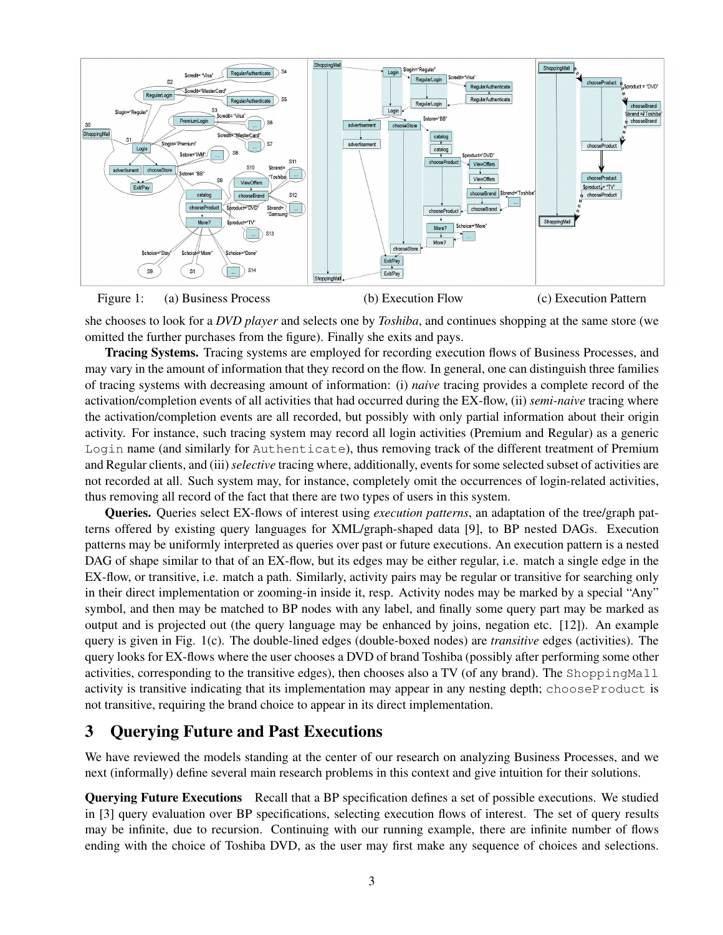



she chooses to look for a *DVD player* and selects one by *Toshiba*, and continues shopping at the same store (we omitted the further purchases from the figure). Finally she exits and pays.

Tracing Systems. Tracing systems are employed for recording execution flows of Business Processes, and may vary in the amount of information that they record on the flow. In general, one can distinguish three families of tracing systems with decreasing amount of information: (i) *naive* tracing provides a complete record of the activation/completion events of all activities that had occurred during the EX-flow, (ii) *semi-naive* tracing where the activation/completion events are all recorded, but possibly with only partial information about their origin activity. For instance, such tracing system may record all login activities (Premium and Regular) as a generic Login name (and similarly for Authenticate), thus removing track of the different treatment of Premium and Regular clients, and (iii)*selective* tracing where, additionally, events for some selected subset of activities are not recorded at all. Such system may, for instance, completely omit the occurrences of login-related activities, thus removing all record of the fact that there are two types of users in this system.

Queries. Queries select EX-flows of interest using *execution patterns*, an adaptation of the tree/graph patterns offered by existing query languages for XML/graph-shaped data [9], to BP nested DAGs. Execution patterns may be uniformly interpreted as queries over past or future executions. An execution pattern is a nested DAG of shape similar to that of an EX-flow, but its edges may be either regular, i.e. match a single edge in the EX-flow, or transitive, i.e. match a path. Similarly, activity pairs may be regular or transitive for searching only in their direct implementation or zooming-in inside it, resp. Activity nodes may be marked by a special "Any" symbol, and then may be matched to BP nodes with any label, and finally some query part may be marked as output and is projected out (the query language may be enhanced by joins, negation etc. [12]). An example query is given in Fig. 1(c). The double-lined edges (double-boxed nodes) are *transitive* edges (activities). The query looks for EX-flows where the user chooses a DVD of brand Toshiba (possibly after performing some other activities, corresponding to the transitive edges), then chooses also a TV (of any brand). The ShoppingMall activity is transitive indicating that its implementation may appear in any nesting depth; chooseProduct is not transitive, requiring the brand choice to appear in its direct implementation.

## 3 Querying Future and Past Executions

We have reviewed the models standing at the center of our research on analyzing Business Processes, and we next (informally) define several main research problems in this context and give intuition for their solutions.

Querying Future Executions Recall that a BP specification defines a set of possible executions. We studied in [3] query evaluation over BP specifications, selecting execution flows of interest. The set of query results may be infinite, due to recursion. Continuing with our running example, there are infinite number of flows ending with the choice of Toshiba DVD, as the user may first make any sequence of choices and selections.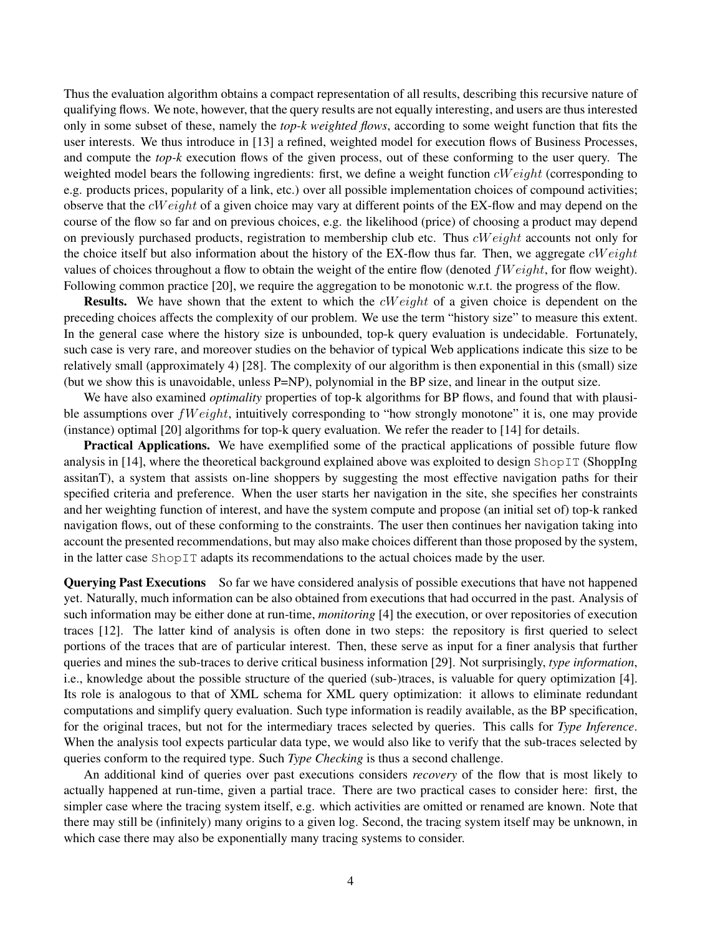Thus the evaluation algorithm obtains a compact representation of all results, describing this recursive nature of qualifying flows. We note, however, that the query results are not equally interesting, and users are thus interested only in some subset of these, namely the *top-k weighted flows*, according to some weight function that fits the user interests. We thus introduce in [13] a refined, weighted model for execution flows of Business Processes, and compute the *top-k* execution flows of the given process, out of these conforming to the user query. The weighted model bears the following ingredients: first, we define a weight function  $cWeight$  (corresponding to e.g. products prices, popularity of a link, etc.) over all possible implementation choices of compound activities; observe that the  $cWeight$  of a given choice may vary at different points of the EX-flow and may depend on the course of the flow so far and on previous choices, e.g. the likelihood (price) of choosing a product may depend on previously purchased products, registration to membership club etc. Thus  $cWeight$  accounts not only for the choice itself but also information about the history of the EX-flow thus far. Then, we aggregate  $cWeight$ values of choices throughout a flow to obtain the weight of the entire flow (denoted  $fWeight$ , for flow weight). Following common practice [20], we require the aggregation to be monotonic w.r.t. the progress of the flow.

Results. We have shown that the extent to which the *cW eight* of a given choice is dependent on the preceding choices affects the complexity of our problem. We use the term "history size" to measure this extent. In the general case where the history size is unbounded, top-k query evaluation is undecidable. Fortunately, such case is very rare, and moreover studies on the behavior of typical Web applications indicate this size to be relatively small (approximately 4) [28]. The complexity of our algorithm is then exponential in this (small) size (but we show this is unavoidable, unless P=NP), polynomial in the BP size, and linear in the output size.

We have also examined *optimality* properties of top-k algorithms for BP flows, and found that with plausible assumptions over  $fWeight$ , intuitively corresponding to "how strongly monotone" it is, one may provide (instance) optimal [20] algorithms for top-k query evaluation. We refer the reader to [14] for details.

Practical Applications. We have exemplified some of the practical applications of possible future flow analysis in [14], where the theoretical background explained above was exploited to design ShopIT (ShoppIng assitanT), a system that assists on-line shoppers by suggesting the most effective navigation paths for their specified criteria and preference. When the user starts her navigation in the site, she specifies her constraints and her weighting function of interest, and have the system compute and propose (an initial set of) top-k ranked navigation flows, out of these conforming to the constraints. The user then continues her navigation taking into account the presented recommendations, but may also make choices different than those proposed by the system, in the latter case ShopIT adapts its recommendations to the actual choices made by the user.

Querying Past Executions So far we have considered analysis of possible executions that have not happened yet. Naturally, much information can be also obtained from executions that had occurred in the past. Analysis of such information may be either done at run-time, *monitoring* [4] the execution, or over repositories of execution traces [12]. The latter kind of analysis is often done in two steps: the repository is first queried to select portions of the traces that are of particular interest. Then, these serve as input for a finer analysis that further queries and mines the sub-traces to derive critical business information [29]. Not surprisingly, *type information*, i.e., knowledge about the possible structure of the queried (sub-)traces, is valuable for query optimization [4]. Its role is analogous to that of XML schema for XML query optimization: it allows to eliminate redundant computations and simplify query evaluation. Such type information is readily available, as the BP specification, for the original traces, but not for the intermediary traces selected by queries. This calls for *Type Inference*. When the analysis tool expects particular data type, we would also like to verify that the sub-traces selected by queries conform to the required type. Such *Type Checking* is thus a second challenge.

An additional kind of queries over past executions considers *recovery* of the flow that is most likely to actually happened at run-time, given a partial trace. There are two practical cases to consider here: first, the simpler case where the tracing system itself, e.g. which activities are omitted or renamed are known. Note that there may still be (infinitely) many origins to a given log. Second, the tracing system itself may be unknown, in which case there may also be exponentially many tracing systems to consider.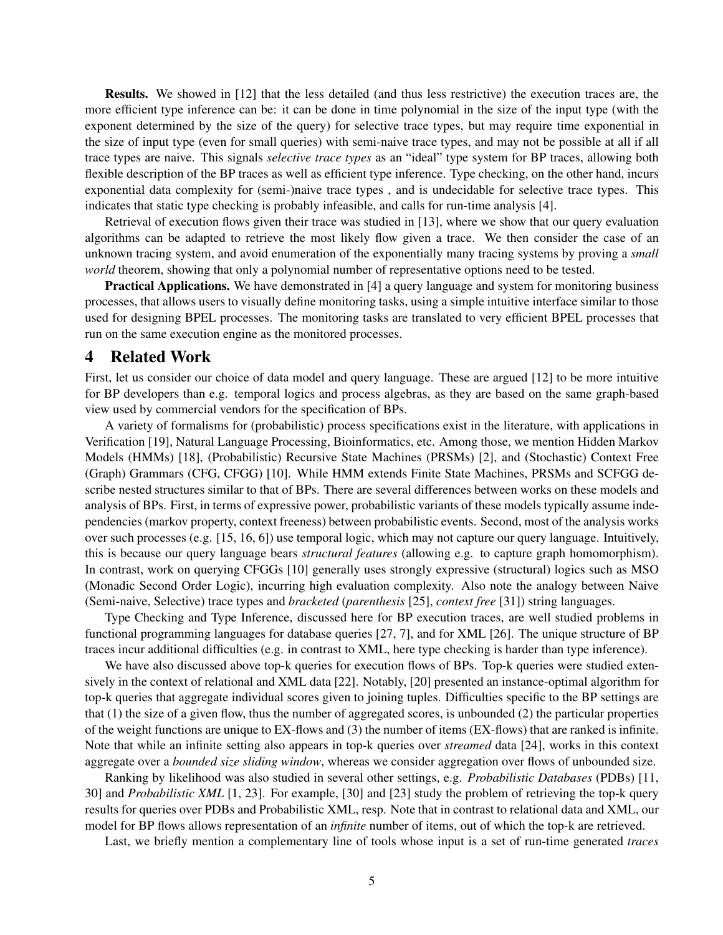Results. We showed in [12] that the less detailed (and thus less restrictive) the execution traces are, the more efficient type inference can be: it can be done in time polynomial in the size of the input type (with the exponent determined by the size of the query) for selective trace types, but may require time exponential in the size of input type (even for small queries) with semi-naive trace types, and may not be possible at all if all trace types are naive. This signals *selective trace types* as an "ideal" type system for BP traces, allowing both flexible description of the BP traces as well as efficient type inference. Type checking, on the other hand, incurs exponential data complexity for (semi-)naive trace types , and is undecidable for selective trace types. This indicates that static type checking is probably infeasible, and calls for run-time analysis [4].

Retrieval of execution flows given their trace was studied in [13], where we show that our query evaluation algorithms can be adapted to retrieve the most likely flow given a trace. We then consider the case of an unknown tracing system, and avoid enumeration of the exponentially many tracing systems by proving a *small world* theorem, showing that only a polynomial number of representative options need to be tested.

Practical Applications. We have demonstrated in [4] a query language and system for monitoring business processes, that allows users to visually define monitoring tasks, using a simple intuitive interface similar to those used for designing BPEL processes. The monitoring tasks are translated to very efficient BPEL processes that run on the same execution engine as the monitored processes.

#### 4 Related Work

First, let us consider our choice of data model and query language. These are argued [12] to be more intuitive for BP developers than e.g. temporal logics and process algebras, as they are based on the same graph-based view used by commercial vendors for the specification of BPs.

A variety of formalisms for (probabilistic) process specifications exist in the literature, with applications in Verification [19], Natural Language Processing, Bioinformatics, etc. Among those, we mention Hidden Markov Models (HMMs) [18], (Probabilistic) Recursive State Machines (PRSMs) [2], and (Stochastic) Context Free (Graph) Grammars (CFG, CFGG) [10]. While HMM extends Finite State Machines, PRSMs and SCFGG describe nested structures similar to that of BPs. There are several differences between works on these models and analysis of BPs. First, in terms of expressive power, probabilistic variants of these models typically assume independencies (markov property, context freeness) between probabilistic events. Second, most of the analysis works over such processes (e.g. [15, 16, 6]) use temporal logic, which may not capture our query language. Intuitively, this is because our query language bears *structural features* (allowing e.g. to capture graph homomorphism). In contrast, work on querying CFGGs [10] generally uses strongly expressive (structural) logics such as MSO (Monadic Second Order Logic), incurring high evaluation complexity. Also note the analogy between Naive (Semi-naive, Selective) trace types and *bracketed* (*parenthesis* [25], *context free* [31]) string languages.

Type Checking and Type Inference, discussed here for BP execution traces, are well studied problems in functional programming languages for database queries [27, 7], and for XML [26]. The unique structure of BP traces incur additional difficulties (e.g. in contrast to XML, here type checking is harder than type inference).

We have also discussed above top-k queries for execution flows of BPs. Top-k queries were studied extensively in the context of relational and XML data [22]. Notably, [20] presented an instance-optimal algorithm for top-k queries that aggregate individual scores given to joining tuples. Difficulties specific to the BP settings are that (1) the size of a given flow, thus the number of aggregated scores, is unbounded (2) the particular properties of the weight functions are unique to EX-flows and (3) the number of items (EX-flows) that are ranked is infinite. Note that while an infinite setting also appears in top-k queries over *streamed* data [24], works in this context aggregate over a *bounded size sliding window*, whereas we consider aggregation over flows of unbounded size.

Ranking by likelihood was also studied in several other settings, e.g. *Probabilistic Databases* (PDBs) [11, 30] and *Probabilistic XML* [1, 23]. For example, [30] and [23] study the problem of retrieving the top-k query results for queries over PDBs and Probabilistic XML, resp. Note that in contrast to relational data and XML, our model for BP flows allows representation of an *infinite* number of items, out of which the top-k are retrieved.

Last, we briefly mention a complementary line of tools whose input is a set of run-time generated *traces*